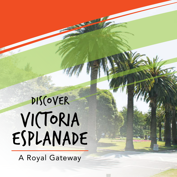# victoria esplanade DIS(OVER

A Royal Gateway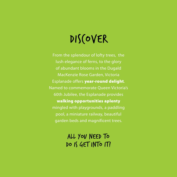### DIS(OVER

From the splendour of lofty trees, the lush elegance of ferns, to the glory of abundant blooms in the Dugald MacKenzie Rose Garden, Victoria Esplanade offers year-round delight. Named to commemorate Queen Victoria's 60th Jubilee, the Esplanade provides walking opportunities aplenty mingled with playgrounds, a paddling pool, a miniature railway, beautiful garden beds and magnificent trees.

### All you need to DO IS GET INTO IT!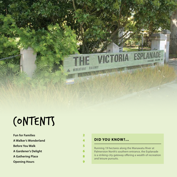### contents

| <b>Fun for Families</b>  |  |
|--------------------------|--|
| A Walker's Wonderland    |  |
| <b>Before You Walk</b>   |  |
| A Gardener's Delight     |  |
| <b>A Gathering Place</b> |  |
| <b>Opening Hours</b>     |  |

#### **DID YOU KNOW?...**

 $C1$ 

MINIATURE BAILWAY

Running 19 hectares along the Manawatu River at Palmerston North's southern entrance, the Esplanade is a striking city gateway offering a wealth of recreation and leisure pursuits.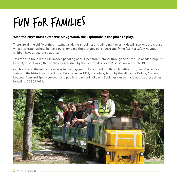### Fun for Families

#### **With the city's most extensive playground, the Esplanade is the place to play.**

There are all the old favourites – swings, slides, trampolines and climbing frames. Kids will also love the mouse wheels, whisper dishes, fireman's pole, jump pit, three–storey pole house and flying fox. For safety, younger children have a separate play area.

Tots can also frolic in the Esplanade's paddling pool. Open from October through April, the Esplanade's large Art Deco style pool was gifted to the city's children by the Returned Services Association in the late 1930s.

Catch a ride on the miniature railway in the playground for a round trip through native bush, past the hockey turfs and the historic Victoria House. Established in 1969, the railway is run by the Miniature Railway Society between 1pm and 4pm weekends, and public and school holidays. Bookings can be made outside these times by calling 06 365 4091.

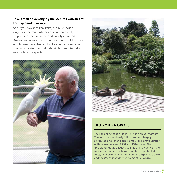#### **Take a stab at identifying the 55 birds varieties at the Esplanade's aviary.**

See if you can spot kea, kaka, the blue Indian ringneck, the rare antipodes island parakeet, the sulphur crested cockatoo and vividly coloured Australian parrots. The endangered native blue ducks and brown teals also call the Esplanade home in a specially created natural habitat designed to help repopulate the species.





#### **DID YOU KNOW?...**

The Esplanade began life in 1897 as a gravel footpath. The form it more closely follows today is largely attributable to Peter Black, Palmerston North's Curator of Reserves between 1908 and 1946. Peter Black's tree plantings are a legacy still much in evidence – the Arboretum, which contains a number of protected trees, the flowering cherries along the Esplanade drive and the *Phoenix canariensis* palms of Palm Drive.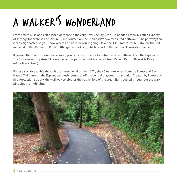### A Walker's Wonderland

From native bush and established gardens, to the calm riverside idyll, the Esplanade's pathways offer a variety of settings for exercise and leisure. Pace yourself on the Esplanade's two measured pathways. The pathways are clearly signposted so you know where and how far you're going! Take the 1350-metre Route A (follow the red markers) or the 900-metre Route B (the green markers), which is part of the national KiwiWalk initiative.

If you're after a serious exercise session, you can access the 9 kilometre riverside pathway from the Esplanade. The Esplanade comprises 3 kilometres of this pathway, which extends from Paneiri Park to Riverside Drive (off Te Matai Road).

Prefer a sociable amble through the natural environment? Try the 45 minute, one-kilometre Forest and Bird Nature Trail through the Esplanade's bush (entrance off the central playground car park). Created by Forest and Bird Protection Society, the walkway celebrates the native flora of the area. Signs posted throughout the walk pinpoint the highlights.

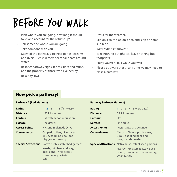### Before You Walk

- Plan where you are going, how long it should take, and account for the return trip!
- Tell someone where you are going.
- Take someone with you.
- Many of the pathways are near ponds, streams and rivers. Please remember to take care around water.
- Respect pathway signs, fences, flora and fauna, and the property of those who live nearby.
- Be a tidy kiwi.
- Dress for the weather.
- Slip on a shirt, slap on a hat, and slop on some sun block.
- Wear suitable footwear.

**Pathway B (Green Markers)**

- Take nothing but photos, leave nothing but footprints!
- Enjoy yourself! Talk while you walk.
- Please be aware that at any time we may need to close a pathway.

### Now pick a pathway!

#### **Pathway A (Red Markers)**

| <b>Rating</b>              | 1 <b>2</b> 3 4 5 (fairly easy)                                                             | Rating                     | 1 2 3 4 5 (very easy)                                                                   |
|----------------------------|--------------------------------------------------------------------------------------------|----------------------------|-----------------------------------------------------------------------------------------|
| <b>Distance</b>            | 1.35 kilometres                                                                            | <b>Distance</b>            | 0.9 kilometres                                                                          |
| Contour                    | Flat with minor undulation                                                                 | Contour                    | <b>Flat</b>                                                                             |
| <b>Surface</b>             | Fine gravel                                                                                | <b>Surface</b>             | Fine gravel                                                                             |
| <b>Access Points</b>       | Victoria Esplanade Drive                                                                   | <b>Access Points</b>       | Victoria Esplanade Drive                                                                |
| <b>Conveniences</b>        | Car park, toilets, picnic areas,<br>BBQ's, paddling pool, and<br>playgrounds nearby        | <b>Conveniences</b>        | Car park. Toilets, picnic areas,<br>BBQ's, paddling pool, and<br>playgrounds nearby     |
| <b>Special Attractions</b> | Native bush, established gardens                                                           | <b>Special Attractions</b> | Native bush, established gardens                                                        |
|                            | Nearby: Miniature railway,<br>duck ponds, river access,<br>conservatory, aviaries,<br>café |                            | Nearby: Miniature railway, duck<br>ponds, river access, conservatory,<br>aviaries, café |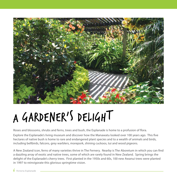

## A Gardener's Delight

Roses and blossoms, shrubs and ferns, trees and bush, the Esplanade is home to a profusion of flora.

Explore the Esplanade's living museum and discover how the Manawatu looked over 100 years ago. This five hectares of native bush is home to rare and endangered plant species and to a wealth of animals and birds, including bellbirds, falcons, grey warblers, morepork, shining cuckoos, tui and wood pigeons.

A New Zealand icon, ferns of many varieties thrive in The Fernery. Nearby is The Aboretum in which you can find a dazzling array of exotic and native trees, some of which are rarely found in New Zealand. Spring brings the delight of the Esplanade's cherry trees. First planted in the 1950s and 60s, 100 new Awanui trees were planted in 1997 to reinvigorate this glorious springtime vision.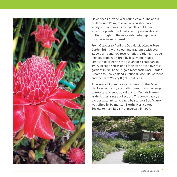

Flower beds provide year-round colour. The annual beds around Palm Drive are replenished twice yearly to maintain spectacular all-year blooms. The extensive plantings of herbaceous perennials and bulbs throughout the more established gardens provide seasonal interest.

From October to April the Dugald MacKenzie Rose Garden brims with colour and fragrance with over 5,000 plants and 100 rose varieties. Varieties include 'Victoria Esplanade' bred by local woman Nola Simpson to celebrate the Esplanade's centenary in 1997. Recognised as one of the world's top five rose gardens in 2003, the Dugald MacKenzie Rose Garden is home to New Zealand's National Rose Trial Gardens and the Plant Variety Rights Trial Beds.

After something more exotic? Seek out the Peter Black Conservatory and Lath House for a wide range of tropical and subtropical plants. Orchids feature as the largest single collection. The conservatory's copper water mister created by sculptor Bob Munro was gifted by Palmerston North's Horticultural Society to mark its 75th anniversary in 1997.

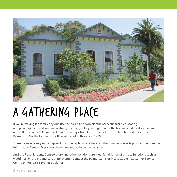

### A GATHERING PLACE

If you're making it a family day out, use the park's free twin electric barbecue facilities, seating and picnic spots to chill out and restore your energy. Or you might prefer the hot and cold food, ice cream and coffee on offer 9.30am to 4.30pm, seven days, from Café Esplanade. The Café is housed in Victoria House, Palmerston North's former post office relocated to this site in 1989.

There's always plenty more happening at the Esplanade. Check out the summer concerts programme from the Information Centre. Every year there's fun and action to suit all tastes.

And the Rose Gardens, Conservatory and other locations are ideal for all kinds of private functions such as weddings, birthdays and corporate events. Contact the Palmerston North City Council Customer Service Centre on (06) 356 8199 for bookings.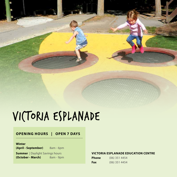### Victoria Esplanade

#### **OPENING HOURS | OPEN 7 DAYS**

#### **Winter**

**(April - September)** 8am - 6pm

**Summer** | Daylight Savings hours **(October - March)** 8am - 9pm

#### **VICTORIA ESPLANADE EDUCATION CENTRE**

| Phone | $(06)$ 351 4454 |  |
|-------|-----------------|--|
| Fax   | $(06)$ 351 4454 |  |